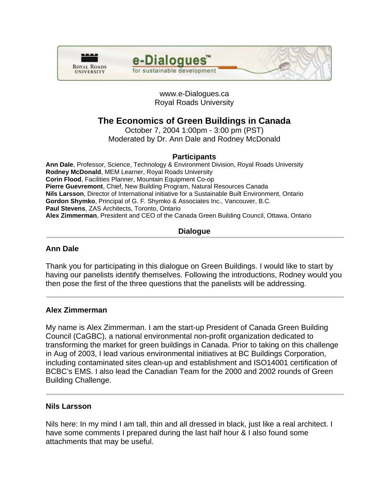



# www.e-Dialogues.ca Royal Roads University

# **The Economics of Green Buildings in Canada**

October 7, 2004 1:00pm - 3:00 pm (PST) Moderated by Dr. Ann Dale and Rodney McDonald

# **Participants**

**Ann Dale**, Professor, Science, Technology & Environment Division, Royal Roads University **Rodney McDonald**, MEM Learner, Royal Roads University **Corin Flood**, Facilities Planner, Mountain Equipment Co-op **Pierre Guevremont**, Chief, New Building Program, Natural Resources Canada **Nils Larsson**, Director of International initiative for a Sustainable Built Environment, Ontario **Gordon Shymko**, Principal of G. F. Shymko & Associates Inc., Vancouver, B.C. **Paul Stevens**, ZAS Architects, Toronto, Ontario **Alex Zimmerman**, President and CEO of the Canada Green Building Council, Ottawa, Ontario

# **Dialogue**

# **Ann Dale**

Thank you for participating in this dialogue on Green Buildings. I would like to start by having our panelists identify themselves. Following the introductions, Rodney would you then pose the first of the three questions that the panelists will be addressing.

# **Alex Zimmerman**

My name is Alex Zimmerman. I am the start-up President of Canada Green Building Council (CaGBC), a national environmental non-profit organization dedicated to transforming the market for green buildings in Canada. Prior to taking on this challenge in Aug of 2003, I lead various environmental initiatives at BC Buildings Corporation, including contaminated sites clean-up and establishment and ISO14001 certification of BCBC's EMS. I also lead the Canadian Team for the 2000 and 2002 rounds of Green Building Challenge.

# **Nils Larsson**

Nils here: In my mind I am tall, thin and all dressed in black, just like a real architect. I have some comments I prepared during the last half hour & I also found some attachments that may be useful.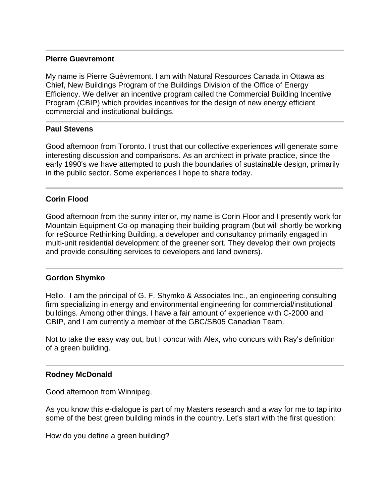## **Pierre Guevremont**

My name is Pierre Guèvremont. I am with Natural Resources Canada in Ottawa as Chief, New Buildings Program of the Buildings Division of the Office of Energy Efficiency. We deliver an incentive program called the Commercial Building Incentive Program (CBIP) which provides incentives for the design of new energy efficient commercial and institutional buildings.

## **Paul Stevens**

Good afternoon from Toronto. I trust that our collective experiences will generate some interesting discussion and comparisons. As an architect in private practice, since the early 1990's we have attempted to push the boundaries of sustainable design, primarily in the public sector. Some experiences I hope to share today.

# **Corin Flood**

Good afternoon from the sunny interior, my name is Corin Floor and I presently work for Mountain Equipment Co-op managing their building program (but will shortly be working for reSource Rethinking Building, a developer and consultancy primarily engaged in multi-unit residential development of the greener sort. They develop their own projects and provide consulting services to developers and land owners).

# **Gordon Shymko**

Hello. I am the principal of G. F. Shymko & Associates Inc., an engineering consulting firm specializing in energy and environmental engineering for commercial/institutional buildings. Among other things, I have a fair amount of experience with C-2000 and CBIP, and I am currently a member of the GBC/SB05 Canadian Team.

Not to take the easy way out, but I concur with Alex, who concurs with Ray's definition of a green building.

# **Rodney McDonald**

Good afternoon from Winnipeg,

As you know this e-dialogue is part of my Masters research and a way for me to tap into some of the best green building minds in the country. Let's start with the first question:

How do you define a green building?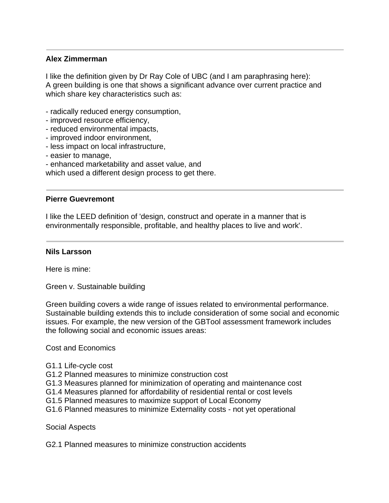# **Alex Zimmerman**

I like the definition given by Dr Ray Cole of UBC (and I am paraphrasing here): A green building is one that shows a significant advance over current practice and which share key characteristics such as:

- radically reduced energy consumption,
- improved resource efficiency,
- reduced environmental impacts,
- improved indoor environment,
- less impact on local infrastructure,
- easier to manage,
- enhanced marketability and asset value, and

which used a different design process to get there.

## **Pierre Guevremont**

I like the LEED definition of 'design, construct and operate in a manner that is environmentally responsible, profitable, and healthy places to live and work'.

## **Nils Larsson**

Here is mine:

Green v. Sustainable building

Green building covers a wide range of issues related to environmental performance. Sustainable building extends this to include consideration of some social and economic issues. For example, the new version of the GBTool assessment framework includes the following social and economic issues areas:

Cost and Economics

- G1.1 Life-cycle cost
- G1.2 Planned measures to minimize construction cost
- G1.3 Measures planned for minimization of operating and maintenance cost
- G1.4 Measures planned for affordability of residential rental or cost levels
- G1.5 Planned measures to maximize support of Local Economy
- G1.6 Planned measures to minimize Externality costs not yet operational

Social Aspects

G2.1 Planned measures to minimize construction accidents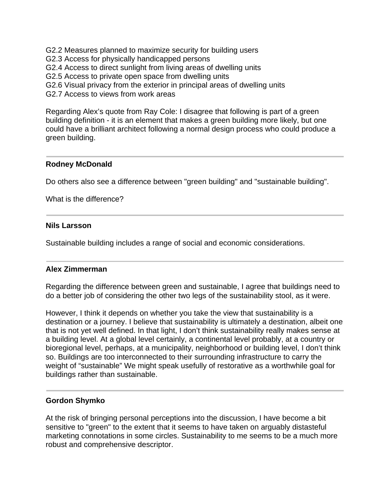G2.2 Measures planned to maximize security for building users

G2.3 Access for physically handicapped persons

G2.4 Access to direct sunlight from living areas of dwelling units

- G2.5 Access to private open space from dwelling units
- G2.6 Visual privacy from the exterior in principal areas of dwelling units

G2.7 Access to views from work areas

Regarding Alex's quote from Ray Cole: I disagree that following is part of a green building definition - it is an element that makes a green building more likely, but one could have a brilliant architect following a normal design process who could produce a green building.

# **Rodney McDonald**

Do others also see a difference between "green building" and "sustainable building".

What is the difference?

## **Nils Larsson**

Sustainable building includes a range of social and economic considerations.

# **Alex Zimmerman**

Regarding the difference between green and sustainable, I agree that buildings need to do a better job of considering the other two legs of the sustainability stool, as it were.

However, I think it depends on whether you take the view that sustainability is a destination or a journey. I believe that sustainability is ultimately a destination, albeit one that is not yet well defined. In that light, I don't think sustainability really makes sense at a building level. At a global level certainly, a continental level probably, at a country or bioregional level, perhaps, at a municipality, neighborhood or building level, I don't think so. Buildings are too interconnected to their surrounding infrastructure to carry the weight of "sustainable" We might speak usefully of restorative as a worthwhile goal for buildings rather than sustainable.

# **Gordon Shymko**

At the risk of bringing personal perceptions into the discussion, I have become a bit sensitive to "green" to the extent that it seems to have taken on arguably distasteful marketing connotations in some circles. Sustainability to me seems to be a much more robust and comprehensive descriptor.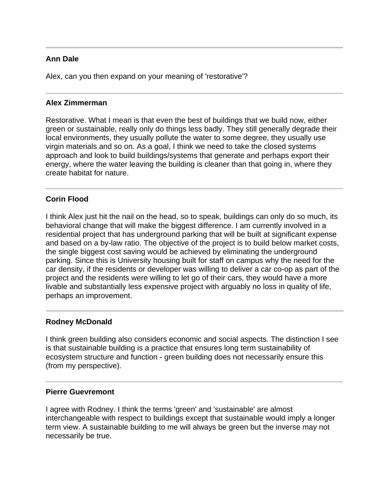# **Ann Dale**

Alex, can you then expand on your meaning of 'restorative'?

## **Alex Zimmerman**

Restorative. What I mean is that even the best of buildings that we build now, either green or sustainable, really only do things less badly. They still generally degrade their local environments, they usually pollute the water to some degree, they usually use virgin materials and so on. As a goal, I think we need to take the closed systems approach and look to build buildings/systems that generate and perhaps export their energy, where the water leaving the building is cleaner than that going in, where they create habitat for nature.

# **Corin Flood**

I think Alex just hit the nail on the head, so to speak, buildings can only do so much, its behavioral change that will make the biggest difference. I am currently involved in a residential project that has underground parking that will be built at significant expense and based on a by-law ratio. The objective of the project is to build below market costs, the single biggest cost saving would be achieved by eliminating the underground parking. Since this is University housing built for staff on campus why the need for the car density, if the residents or developer was willing to deliver a car co-op as part of the project and the residents were willing to let go of their cars, they would have a more livable and substantially less expensive project with arguably no loss in quality of life, perhaps an improvement.

# **Rodney McDonald**

I think green building also considers economic and social aspects. The distinction I see is that sustainable building is a practice that ensures long term sustainability of ecosystem structure and function - green building does not necessarily ensure this (from my perspective).

## **Pierre Guevremont**

I agree with Rodney. I think the terms 'green' and 'sustainable' are almost interchangeable with respect to buildings except that sustainable would imply a longer term view. A sustainable building to me will always be green but the inverse may not necessarily be true.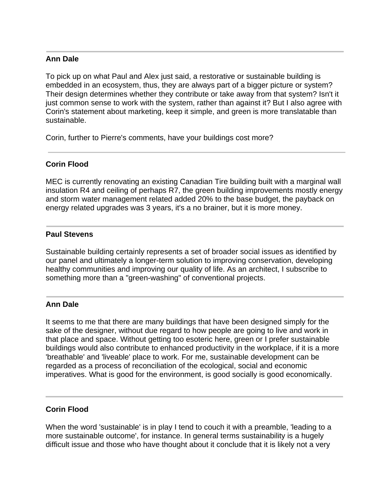# **Ann Dale**

To pick up on what Paul and Alex just said, a restorative or sustainable building is embedded in an ecosystem, thus, they are always part of a bigger picture or system? Their design determines whether they contribute or take away from that system? Isn't it just common sense to work with the system, rather than against it? But I also agree with Corin's statement about marketing, keep it simple, and green is more translatable than sustainable.

Corin, further to Pierre's comments, have your buildings cost more?

# **Corin Flood**

MEC is currently renovating an existing Canadian Tire building built with a marginal wall insulation R4 and ceiling of perhaps R7, the green building improvements mostly energy and storm water management related added 20% to the base budget, the payback on energy related upgrades was 3 years, it's a no brainer, but it is more money.

## **Paul Stevens**

Sustainable building certainly represents a set of broader social issues as identified by our panel and ultimately a longer-term solution to improving conservation, developing healthy communities and improving our quality of life. As an architect, I subscribe to something more than a "green-washing" of conventional projects.

# **Ann Dale**

It seems to me that there are many buildings that have been designed simply for the sake of the designer, without due regard to how people are going to live and work in that place and space. Without getting too esoteric here, green or I prefer sustainable buildings would also contribute to enhanced productivity in the workplace, if it is a more 'breathable' and 'liveable' place to work. For me, sustainable development can be regarded as a process of reconciliation of the ecological, social and economic imperatives. What is good for the environment, is good socially is good economically.

# **Corin Flood**

When the word 'sustainable' is in play I tend to couch it with a preamble, 'leading to a more sustainable outcome', for instance. In general terms sustainability is a hugely difficult issue and those who have thought about it conclude that it is likely not a very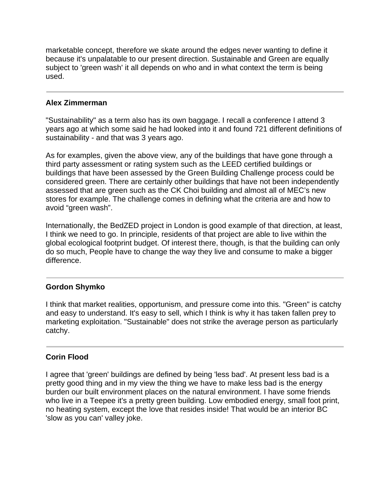marketable concept, therefore we skate around the edges never wanting to define it because it's unpalatable to our present direction. Sustainable and Green are equally subject to 'green wash' it all depends on who and in what context the term is being used.

# **Alex Zimmerman**

"Sustainability" as a term also has its own baggage. I recall a conference I attend 3 years ago at which some said he had looked into it and found 721 different definitions of sustainability - and that was 3 years ago.

As for examples, given the above view, any of the buildings that have gone through a third party assessment or rating system such as the LEED certified buildings or buildings that have been assessed by the Green Building Challenge process could be considered green. There are certainly other buildings that have not been independently assessed that are green such as the CK Choi building and almost all of MEC's new stores for example. The challenge comes in defining what the criteria are and how to avoid "green wash".

Internationally, the BedZED project in London is good example of that direction, at least, I think we need to go. In principle, residents of that project are able to live within the global ecological footprint budget. Of interest there, though, is that the building can only do so much, People have to change the way they live and consume to make a bigger difference.

# **Gordon Shymko**

I think that market realities, opportunism, and pressure come into this. "Green" is catchy and easy to understand. It's easy to sell, which I think is why it has taken fallen prey to marketing exploitation. "Sustainable" does not strike the average person as particularly catchy.

# **Corin Flood**

I agree that 'green' buildings are defined by being 'less bad'. At present less bad is a pretty good thing and in my view the thing we have to make less bad is the energy burden our built environment places on the natural environment. I have some friends who live in a Teepee it's a pretty green building. Low embodied energy, small foot print, no heating system, except the love that resides inside! That would be an interior BC 'slow as you can' valley joke.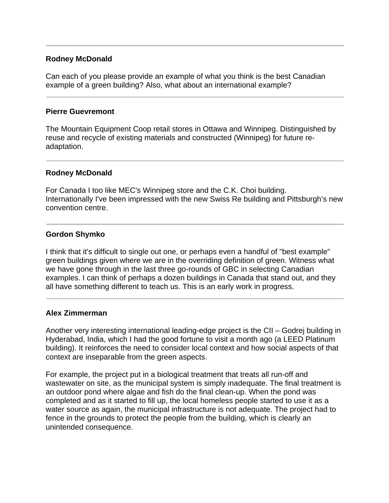# **Rodney McDonald**

Can each of you please provide an example of what you think is the best Canadian example of a green building? Also, what about an international example?

## **Pierre Guevremont**

The Mountain Equipment Coop retail stores in Ottawa and Winnipeg. Distinguished by reuse and recycle of existing materials and constructed (Winnipeg) for future readaptation.

## **Rodney McDonald**

For Canada I too like MEC's Winnipeg store and the C.K. Choi building. Internationally I've been impressed with the new Swiss Re building and Pittsburgh's new convention centre.

## **Gordon Shymko**

I think that it's difficult to single out one, or perhaps even a handful of "best example" green buildings given where we are in the overriding definition of green. Witness what we have gone through in the last three go-rounds of GBC in selecting Canadian examples. I can think of perhaps a dozen buildings in Canada that stand out, and they all have something different to teach us. This is an early work in progress.

## **Alex Zimmerman**

Another very interesting international leading-edge project is the CII – Godrej building in Hyderabad, India, which I had the good fortune to visit a month ago (a LEED Platinum building). It reinforces the need to consider local context and how social aspects of that context are inseparable from the green aspects.

For example, the project put in a biological treatment that treats all run-off and wastewater on site, as the municipal system is simply inadequate. The final treatment is an outdoor pond where algae and fish do the final clean-up. When the pond was completed and as it started to fill up, the local homeless people started to use it as a water source as again, the municipal infrastructure is not adequate. The project had to fence in the grounds to protect the people from the building, which is clearly an unintended consequence.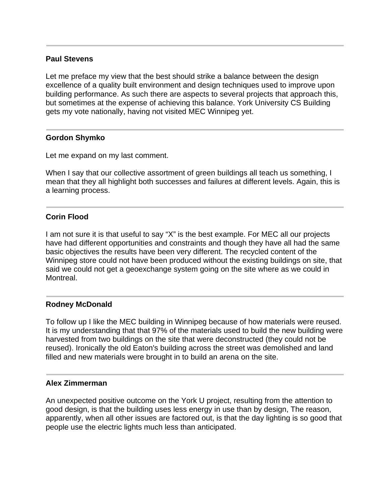## **Paul Stevens**

Let me preface my view that the best should strike a balance between the design excellence of a quality built environment and design techniques used to improve upon building performance. As such there are aspects to several projects that approach this, but sometimes at the expense of achieving this balance. York University CS Building gets my vote nationally, having not visited MEC Winnipeg yet.

## **Gordon Shymko**

Let me expand on my last comment.

When I say that our collective assortment of green buildings all teach us something, I mean that they all highlight both successes and failures at different levels. Again, this is a learning process.

# **Corin Flood**

I am not sure it is that useful to say "X" is the best example. For MEC all our projects have had different opportunities and constraints and though they have all had the same basic objectives the results have been very different. The recycled content of the Winnipeg store could not have been produced without the existing buildings on site, that said we could not get a geoexchange system going on the site where as we could in Montreal.

# **Rodney McDonald**

To follow up I like the MEC building in Winnipeg because of how materials were reused. It is my understanding that that 97% of the materials used to build the new building were harvested from two buildings on the site that were deconstructed (they could not be reused). Ironically the old Eaton's building across the street was demolished and land filled and new materials were brought in to build an arena on the site.

## **Alex Zimmerman**

An unexpected positive outcome on the York U project, resulting from the attention to good design, is that the building uses less energy in use than by design, The reason, apparently, when all other issues are factored out, is that the day lighting is so good that people use the electric lights much less than anticipated.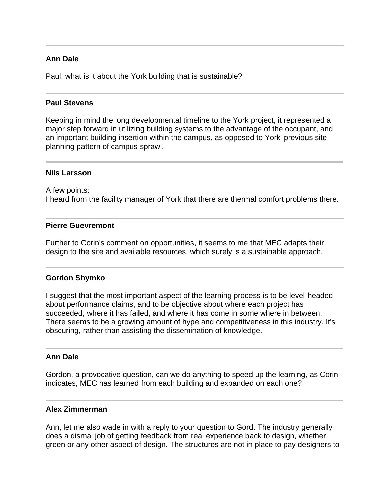# **Ann Dale**

Paul, what is it about the York building that is sustainable?

## **Paul Stevens**

Keeping in mind the long developmental timeline to the York project, it represented a major step forward in utilizing building systems to the advantage of the occupant, and an important building insertion within the campus, as opposed to York' previous site planning pattern of campus sprawl.

#### **Nils Larsson**

A few points: I heard from the facility manager of York that there are thermal comfort problems there.

#### **Pierre Guevremont**

Further to Corin's comment on opportunities, it seems to me that MEC adapts their design to the site and available resources, which surely is a sustainable approach.

## **Gordon Shymko**

I suggest that the most important aspect of the learning process is to be level-headed about performance claims, and to be objective about where each project has succeeded, where it has failed, and where it has come in some where in between. There seems to be a growing amount of hype and competitiveness in this industry. It's obscuring, rather than assisting the dissemination of knowledge.

## **Ann Dale**

Gordon, a provocative question, can we do anything to speed up the learning, as Corin indicates, MEC has learned from each building and expanded on each one?

## **Alex Zimmerman**

Ann, let me also wade in with a reply to your question to Gord. The industry generally does a dismal job of getting feedback from real experience back to design, whether green or any other aspect of design. The structures are not in place to pay designers to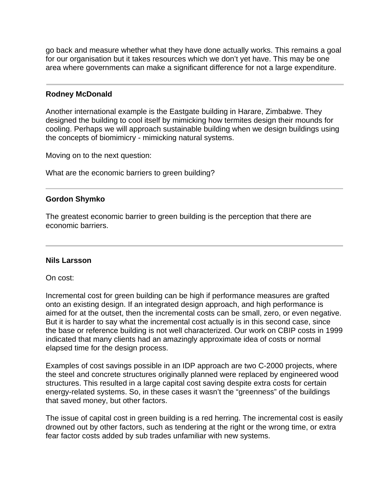go back and measure whether what they have done actually works. This remains a goal for our organisation but it takes resources which we don't yet have. This may be one area where governments can make a significant difference for not a large expenditure.

## **Rodney McDonald**

Another international example is the Eastgate building in Harare, Zimbabwe. They designed the building to cool itself by mimicking how termites design their mounds for cooling. Perhaps we will approach sustainable building when we design buildings using the concepts of biomimicry - mimicking natural systems.

Moving on to the next question:

What are the economic barriers to green building?

## **Gordon Shymko**

The greatest economic barrier to green building is the perception that there are economic barriers.

## **Nils Larsson**

On cost:

Incremental cost for green building can be high if performance measures are grafted onto an existing design. If an integrated design approach, and high performance is aimed for at the outset, then the incremental costs can be small, zero, or even negative. But it is harder to say what the incremental cost actually is in this second case, since the base or reference building is not well characterized. Our work on CBIP costs in 1999 indicated that many clients had an amazingly approximate idea of costs or normal elapsed time for the design process.

Examples of cost savings possible in an IDP approach are two C-2000 projects, where the steel and concrete structures originally planned were replaced by engineered wood structures. This resulted in a large capital cost saving despite extra costs for certain energy-related systems. So, in these cases it wasn't the "greenness" of the buildings that saved money, but other factors.

The issue of capital cost in green building is a red herring. The incremental cost is easily drowned out by other factors, such as tendering at the right or the wrong time, or extra fear factor costs added by sub trades unfamiliar with new systems.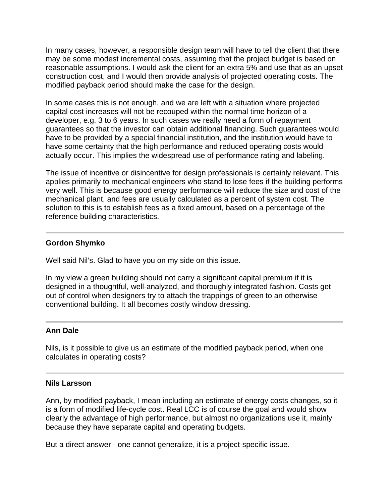In many cases, however, a responsible design team will have to tell the client that there may be some modest incremental costs, assuming that the project budget is based on reasonable assumptions. I would ask the client for an extra 5% and use that as an upset construction cost, and I would then provide analysis of projected operating costs. The modified payback period should make the case for the design.

In some cases this is not enough, and we are left with a situation where projected capital cost increases will not be recouped within the normal time horizon of a developer, e.g. 3 to 6 years. In such cases we really need a form of repayment guarantees so that the investor can obtain additional financing. Such guarantees would have to be provided by a special financial institution, and the institution would have to have some certainty that the high performance and reduced operating costs would actually occur. This implies the widespread use of performance rating and labeling.

The issue of incentive or disincentive for design professionals is certainly relevant. This applies primarily to mechanical engineers who stand to lose fees if the building performs very well. This is because good energy performance will reduce the size and cost of the mechanical plant, and fees are usually calculated as a percent of system cost. The solution to this is to establish fees as a fixed amount, based on a percentage of the reference building characteristics.

# **Gordon Shymko**

Well said Nil's. Glad to have you on my side on this issue.

In my view a green building should not carry a significant capital premium if it is designed in a thoughtful, well-analyzed, and thoroughly integrated fashion. Costs get out of control when designers try to attach the trappings of green to an otherwise conventional building. It all becomes costly window dressing.

# **Ann Dale**

Nils, is it possible to give us an estimate of the modified payback period, when one calculates in operating costs?

## **Nils Larsson**

Ann, by modified payback, I mean including an estimate of energy costs changes, so it is a form of modified life-cycle cost. Real LCC is of course the goal and would show clearly the advantage of high performance, but almost no organizations use it, mainly because they have separate capital and operating budgets.

But a direct answer - one cannot generalize, it is a project-specific issue.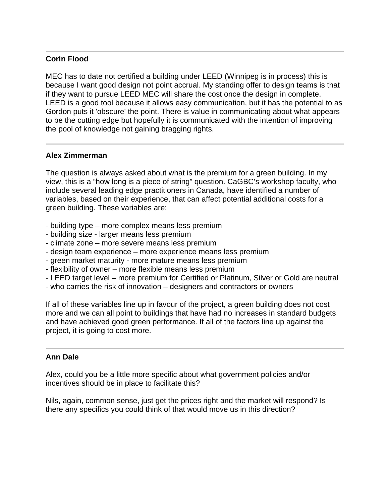# **Corin Flood**

MEC has to date not certified a building under LEED (Winnipeg is in process) this is because I want good design not point accrual. My standing offer to design teams is that if they want to pursue LEED MEC will share the cost once the design in complete. LEED is a good tool because it allows easy communication, but it has the potential to as Gordon puts it 'obscure' the point. There is value in communicating about what appears to be the cutting edge but hopefully it is communicated with the intention of improving the pool of knowledge not gaining bragging rights.

# **Alex Zimmerman**

The question is always asked about what is the premium for a green building. In my view, this is a "how long is a piece of string" question. CaGBC's workshop faculty, who include several leading edge practitioners in Canada, have identified a number of variables, based on their experience, that can affect potential additional costs for a green building. These variables are:

- building type more complex means less premium
- building size larger means less premium
- climate zone more severe means less premium
- design team experience more experience means less premium
- green market maturity more mature means less premium
- flexibility of owner more flexible means less premium
- LEED target level more premium for Certified or Platinum, Silver or Gold are neutral
- who carries the risk of innovation designers and contractors or owners

If all of these variables line up in favour of the project, a green building does not cost more and we can all point to buildings that have had no increases in standard budgets and have achieved good green performance. If all of the factors line up against the project, it is going to cost more.

# **Ann Dale**

Alex, could you be a little more specific about what government policies and/or incentives should be in place to facilitate this?

Nils, again, common sense, just get the prices right and the market will respond? Is there any specifics you could think of that would move us in this direction?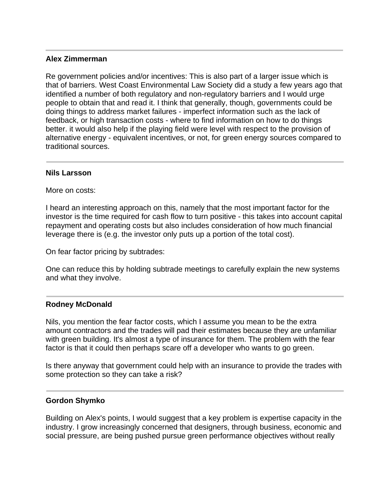## **Alex Zimmerman**

Re government policies and/or incentives: This is also part of a larger issue which is that of barriers. West Coast Environmental Law Society did a study a few years ago that identified a number of both regulatory and non-regulatory barriers and I would urge people to obtain that and read it. I think that generally, though, governments could be doing things to address market failures - imperfect information such as the lack of feedback, or high transaction costs - where to find information on how to do things better. it would also help if the playing field were level with respect to the provision of alternative energy - equivalent incentives, or not, for green energy sources compared to traditional sources.

## **Nils Larsson**

More on costs:

I heard an interesting approach on this, namely that the most important factor for the investor is the time required for cash flow to turn positive - this takes into account capital repayment and operating costs but also includes consideration of how much financial leverage there is (e.g. the investor only puts up a portion of the total cost).

On fear factor pricing by subtrades:

One can reduce this by holding subtrade meetings to carefully explain the new systems and what they involve.

## **Rodney McDonald**

Nils, you mention the fear factor costs, which I assume you mean to be the extra amount contractors and the trades will pad their estimates because they are unfamiliar with green building. It's almost a type of insurance for them. The problem with the fear factor is that it could then perhaps scare off a developer who wants to go green.

Is there anyway that government could help with an insurance to provide the trades with some protection so they can take a risk?

## **Gordon Shymko**

Building on Alex's points, I would suggest that a key problem is expertise capacity in the industry. I grow increasingly concerned that designers, through business, economic and social pressure, are being pushed pursue green performance objectives without really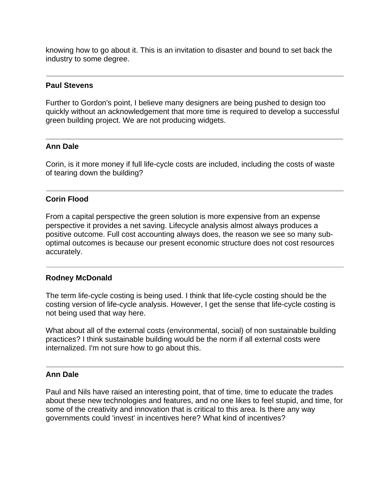knowing how to go about it. This is an invitation to disaster and bound to set back the industry to some degree.

## **Paul Stevens**

Further to Gordon's point, I believe many designers are being pushed to design too quickly without an acknowledgement that more time is required to develop a successful green building project. We are not producing widgets.

## **Ann Dale**

Corin, is it more money if full life-cycle costs are included, including the costs of waste of tearing down the building?

# **Corin Flood**

From a capital perspective the green solution is more expensive from an expense perspective it provides a net saving. Lifecycle analysis almost always produces a positive outcome. Full cost accounting always does, the reason we see so many suboptimal outcomes is because our present economic structure does not cost resources accurately.

## **Rodney McDonald**

The term life-cycle costing is being used. I think that life-cycle costing should be the costing version of life-cycle analysis. However, I get the sense that life-cycle costing is not being used that way here.

What about all of the external costs (environmental, social) of non sustainable building practices? I think sustainable building would be the norm if all external costs were internalized. I'm not sure how to go about this.

## **Ann Dale**

Paul and Nils have raised an interesting point, that of time, time to educate the trades about these new technologies and features, and no one likes to feel stupid, and time, for some of the creativity and innovation that is critical to this area. Is there any way governments could 'invest' in incentives here? What kind of incentives?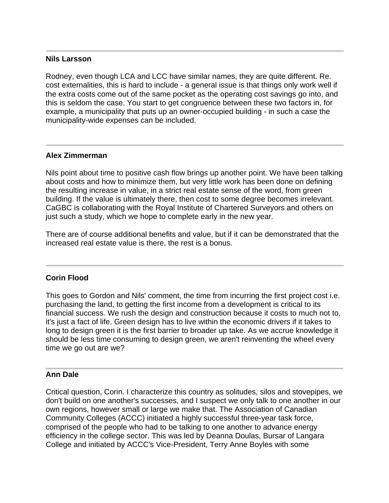## **Nils Larsson**

Rodney, even though LCA and LCC have similar names, they are quite different. Re. cost externalities, this is hard to include - a general issue is that things only work well if the extra costs come out of the same pocket as the operating cost savings go into, and this is seldom the case. You start to get congruence between these two factors in, for example, a municipality that puts up an owner-occupied building - in such a case the municipality-wide expenses can be included.

# **Alex Zimmerman**

Nils point about time to positive cash flow brings up another point. We have been talking about costs and how to minimize them, but very little work has been done on defining the resulting increase in value, in a strict real estate sense of the word, from green building. If the value is ultimately there, then cost to some degree becomes irrelevant. CaGBC is collaborating with the Royal Institute of Chartered Surveyors and others on just such a study, which we hope to complete early in the new year.

There are of course additional benefits and value, but if it can be demonstrated that the increased real estate value is there, the rest is a bonus.

## **Corin Flood**

This goes to Gordon and Nils' comment, the time from incurring the first project cost i.e. purchasing the land, to getting the first income from a development is critical to its financial success. We rush the design and construction because it costs to much not to, it's just a fact of life. Green design has to live within the economic drivers if it takes to long to design green it is the first barrier to broader up take. As we accrue knowledge it should be less time consuming to design green, we aren't reinventing the wheel every time we go out are we?

## **Ann Dale**

Critical question, Corin. I characterize this country as solitudes, silos and stovepipes, we don't build on one another's successes, and I suspect we only talk to one another in our own regions, however small or large we make that. The Association of Canadian Community Colleges (ACCC) initiated a highly successful three-year task force, comprised of the people who had to be talking to one another to advance energy efficiency in the college sector. This was led by Deanna Doulas, Bursar of Langara College and initiated by ACCC's Vice-President, Terry Anne Boyles with some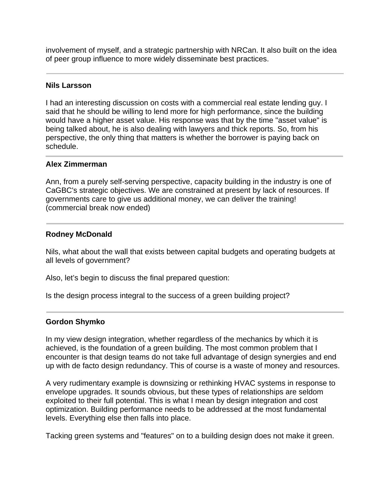involvement of myself, and a strategic partnership with NRCan. It also built on the idea of peer group influence to more widely disseminate best practices.

## **Nils Larsson**

I had an interesting discussion on costs with a commercial real estate lending guy. I said that he should be willing to lend more for high performance, since the building would have a higher asset value. His response was that by the time "asset value" is being talked about, he is also dealing with lawyers and thick reports. So, from his perspective, the only thing that matters is whether the borrower is paying back on schedule.

## **Alex Zimmerman**

Ann, from a purely self-serving perspective, capacity building in the industry is one of CaGBC's strategic objectives. We are constrained at present by lack of resources. If governments care to give us additional money, we can deliver the training! (commercial break now ended)

## **Rodney McDonald**

Nils, what about the wall that exists between capital budgets and operating budgets at all levels of government?

Also, let's begin to discuss the final prepared question:

Is the design process integral to the success of a green building project?

# **Gordon Shymko**

In my view design integration, whether regardless of the mechanics by which it is achieved, is the foundation of a green building. The most common problem that I encounter is that design teams do not take full advantage of design synergies and end up with de facto design redundancy. This of course is a waste of money and resources.

A very rudimentary example is downsizing or rethinking HVAC systems in response to envelope upgrades. It sounds obvious, but these types of relationships are seldom exploited to their full potential. This is what I mean by design integration and cost optimization. Building performance needs to be addressed at the most fundamental levels. Everything else then falls into place.

Tacking green systems and "features" on to a building design does not make it green.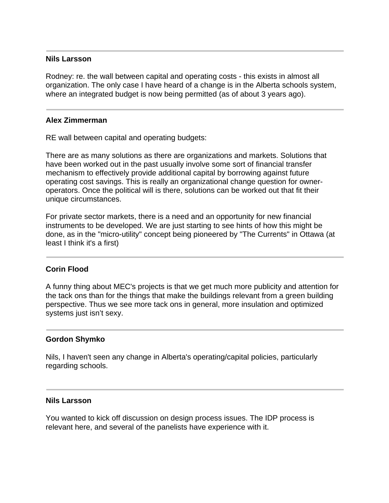## **Nils Larsson**

Rodney: re. the wall between capital and operating costs - this exists in almost all organization. The only case I have heard of a change is in the Alberta schools system, where an integrated budget is now being permitted (as of about 3 years ago).

#### **Alex Zimmerman**

RE wall between capital and operating budgets:

There are as many solutions as there are organizations and markets. Solutions that have been worked out in the past usually involve some sort of financial transfer mechanism to effectively provide additional capital by borrowing against future operating cost savings. This is really an organizational change question for owneroperators. Once the political will is there, solutions can be worked out that fit their unique circumstances.

For private sector markets, there is a need and an opportunity for new financial instruments to be developed. We are just starting to see hints of how this might be done, as in the "micro-utility" concept being pioneered by "The Currents" in Ottawa (at least I think it's a first)

## **Corin Flood**

A funny thing about MEC's projects is that we get much more publicity and attention for the tack ons than for the things that make the buildings relevant from a green building perspective. Thus we see more tack ons in general, more insulation and optimized systems just isn't sexy.

#### **Gordon Shymko**

Nils, I haven't seen any change in Alberta's operating/capital policies, particularly regarding schools.

#### **Nils Larsson**

You wanted to kick off discussion on design process issues. The IDP process is relevant here, and several of the panelists have experience with it.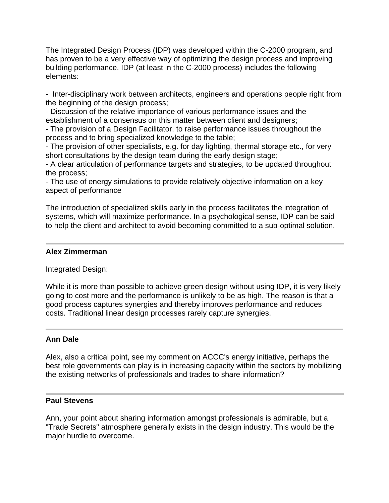The Integrated Design Process (IDP) was developed within the C-2000 program, and has proven to be a very effective way of optimizing the design process and improving building performance. IDP (at least in the C-2000 process) includes the following elements:

- Inter-disciplinary work between architects, engineers and operations people right from the beginning of the design process;

- Discussion of the relative importance of various performance issues and the establishment of a consensus on this matter between client and designers;

- The provision of a Design Facilitator, to raise performance issues throughout the process and to bring specialized knowledge to the table;

- The provision of other specialists, e.g. for day lighting, thermal storage etc., for very short consultations by the design team during the early design stage;

- A clear articulation of performance targets and strategies, to be updated throughout the process;

- The use of energy simulations to provide relatively objective information on a key aspect of performance

The introduction of specialized skills early in the process facilitates the integration of systems, which will maximize performance. In a psychological sense, IDP can be said to help the client and architect to avoid becoming committed to a sub-optimal solution.

# **Alex Zimmerman**

Integrated Design:

While it is more than possible to achieve green design without using IDP, it is very likely going to cost more and the performance is unlikely to be as high. The reason is that a good process captures synergies and thereby improves performance and reduces costs. Traditional linear design processes rarely capture synergies.

# **Ann Dale**

Alex, also a critical point, see my comment on ACCC's energy initiative, perhaps the best role governments can play is in increasing capacity within the sectors by mobilizing the existing networks of professionals and trades to share information?

# **Paul Stevens**

Ann, your point about sharing information amongst professionals is admirable, but a "Trade Secrets" atmosphere generally exists in the design industry. This would be the major hurdle to overcome.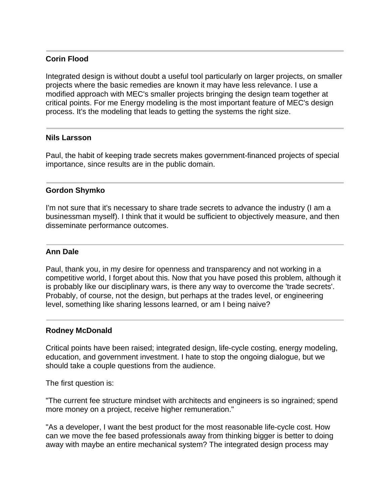# **Corin Flood**

Integrated design is without doubt a useful tool particularly on larger projects, on smaller projects where the basic remedies are known it may have less relevance. I use a modified approach with MEC's smaller projects bringing the design team together at critical points. For me Energy modeling is the most important feature of MEC's design process. It's the modeling that leads to getting the systems the right size.

## **Nils Larsson**

Paul, the habit of keeping trade secrets makes government-financed projects of special importance, since results are in the public domain.

## **Gordon Shymko**

I'm not sure that it's necessary to share trade secrets to advance the industry (I am a businessman myself). I think that it would be sufficient to objectively measure, and then disseminate performance outcomes.

## **Ann Dale**

Paul, thank you, in my desire for openness and transparency and not working in a competitive world, I forget about this. Now that you have posed this problem, although it is probably like our disciplinary wars, is there any way to overcome the 'trade secrets'. Probably, of course, not the design, but perhaps at the trades level, or engineering level, something like sharing lessons learned, or am I being naive?

## **Rodney McDonald**

Critical points have been raised; integrated design, life-cycle costing, energy modeling, education, and government investment. I hate to stop the ongoing dialogue, but we should take a couple questions from the audience.

The first question is:

"The current fee structure mindset with architects and engineers is so ingrained; spend more money on a project, receive higher remuneration."

"As a developer, I want the best product for the most reasonable life-cycle cost. How can we move the fee based professionals away from thinking bigger is better to doing away with maybe an entire mechanical system? The integrated design process may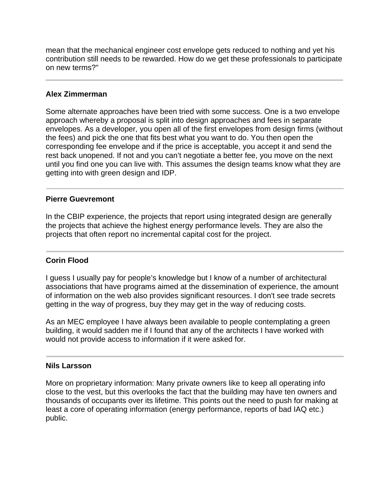mean that the mechanical engineer cost envelope gets reduced to nothing and yet his contribution still needs to be rewarded. How do we get these professionals to participate on new terms?"

# **Alex Zimmerman**

Some alternate approaches have been tried with some success. One is a two envelope approach whereby a proposal is split into design approaches and fees in separate envelopes. As a developer, you open all of the first envelopes from design firms (without the fees) and pick the one that fits best what you want to do. You then open the corresponding fee envelope and if the price is acceptable, you accept it and send the rest back unopened. If not and you can't negotiate a better fee, you move on the next until you find one you can live with. This assumes the design teams know what they are getting into with green design and IDP.

# **Pierre Guevremont**

In the CBIP experience, the projects that report using integrated design are generally the projects that achieve the highest energy performance levels. They are also the projects that often report no incremental capital cost for the project.

# **Corin Flood**

I guess I usually pay for people's knowledge but I know of a number of architectural associations that have programs aimed at the dissemination of experience, the amount of information on the web also provides significant resources. I don't see trade secrets getting in the way of progress, buy they may get in the way of reducing costs.

As an MEC employee I have always been available to people contemplating a green building, it would sadden me if I found that any of the architects I have worked with would not provide access to information if it were asked for.

## **Nils Larsson**

More on proprietary information: Many private owners like to keep all operating info close to the vest, but this overlooks the fact that the building may have ten owners and thousands of occupants over its lifetime. This points out the need to push for making at least a core of operating information (energy performance, reports of bad IAQ etc.) public.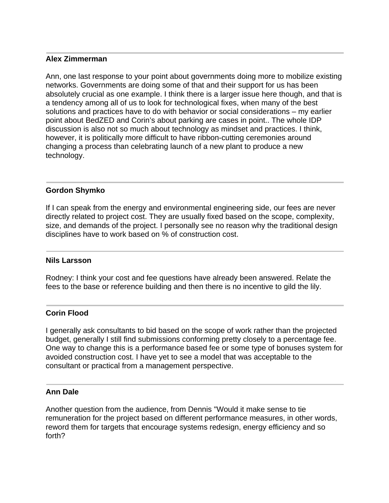## **Alex Zimmerman**

Ann, one last response to your point about governments doing more to mobilize existing networks. Governments are doing some of that and their support for us has been absolutely crucial as one example. I think there is a larger issue here though, and that is a tendency among all of us to look for technological fixes, when many of the best solutions and practices have to do with behavior or social considerations – my earlier point about BedZED and Corin's about parking are cases in point.. The whole IDP discussion is also not so much about technology as mindset and practices. I think, however, it is politically more difficult to have ribbon-cutting ceremonies around changing a process than celebrating launch of a new plant to produce a new technology.

# **Gordon Shymko**

If I can speak from the energy and environmental engineering side, our fees are never directly related to project cost. They are usually fixed based on the scope, complexity, size, and demands of the project. I personally see no reason why the traditional design disciplines have to work based on % of construction cost.

## **Nils Larsson**

Rodney: I think your cost and fee questions have already been answered. Relate the fees to the base or reference building and then there is no incentive to gild the lily.

## **Corin Flood**

I generally ask consultants to bid based on the scope of work rather than the projected budget, generally I still find submissions conforming pretty closely to a percentage fee. One way to change this is a performance based fee or some type of bonuses system for avoided construction cost. I have yet to see a model that was acceptable to the consultant or practical from a management perspective.

## **Ann Dale**

Another question from the audience, from Dennis "Would it make sense to tie remuneration for the project based on different performance measures, in other words, reword them for targets that encourage systems redesign, energy efficiency and so forth?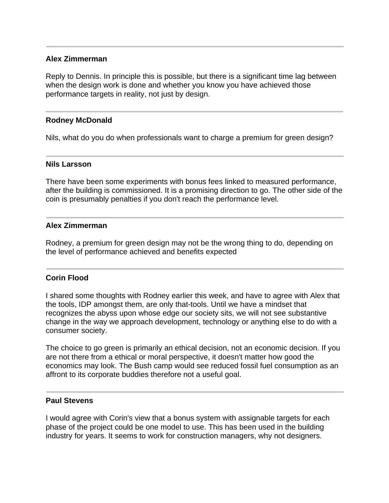## **Alex Zimmerman**

Reply to Dennis. In principle this is possible, but there is a significant time lag between when the design work is done and whether you know you have achieved those performance targets in reality, not just by design.

## **Rodney McDonald**

Nils, what do you do when professionals want to charge a premium for green design?

## **Nils Larsson**

There have been some experiments with bonus fees linked to measured performance, after the building is commissioned. It is a promising direction to go. The other side of the coin is presumably penalties if you don't reach the performance level.

## **Alex Zimmerman**

Rodney, a premium for green design may not be the wrong thing to do, depending on the level of performance achieved and benefits expected

## **Corin Flood**

I shared some thoughts with Rodney earlier this week, and have to agree with Alex that the tools, IDP amongst them, are only that-tools. Until we have a mindset that recognizes the abyss upon whose edge our society sits, we will not see substantive change in the way we approach development, technology or anything else to do with a consumer society.

The choice to go green is primarily an ethical decision, not an economic decision. If you are not there from a ethical or moral perspective, it doesn't matter how good the economics may look. The Bush camp would see reduced fossil fuel consumption as an affront to its corporate buddies therefore not a useful goal.

## **Paul Stevens**

I would agree with Corin's view that a bonus system with assignable targets for each phase of the project could be one model to use. This has been used in the building industry for years. It seems to work for construction managers, why not designers.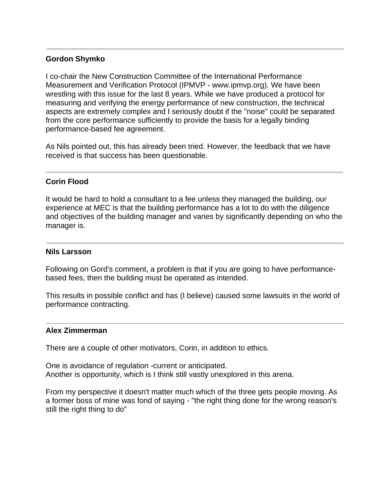# **Gordon Shymko**

I co-chair the New Construction Committee of the International Performance Measurement and Verification Protocol (IPMVP - www.ipmvp.org). We have been wrestling with this issue for the last 8 years. While we have produced a protocol for measuring and verifying the energy performance of new construction, the technical aspects are extremely complex and I seriously doubt if the "noise" could be separated from the core performance sufficiently to provide the basis for a legally binding performance-based fee agreement.

As Nils pointed out, this has already been tried. However, the feedback that we have received is that success has been questionable.

# **Corin Flood**

It would be hard to hold a consultant to a fee unless they managed the building, our experience at MEC is that the building performance has a lot to do with the diligence and objectives of the building manager and varies by significantly depending on who the manager is.

## **Nils Larsson**

Following on Gord's comment, a problem is that if you are going to have performancebased fees, then the building must be operated as intended.

This results in possible conflict and has (I believe) caused some lawsuits in the world of performance contracting.

## **Alex Zimmerman**

There are a couple of other motivators, Corin, in addition to ethics.

One is avoidance of regulation -current or anticipated. Another is opportunity, which is I think still vastly unexplored in this arena.

From my perspective it doesn't matter much which of the three gets people moving. As a former boss of mine was fond of saying - "the right thing done for the wrong reason's still the right thing to do"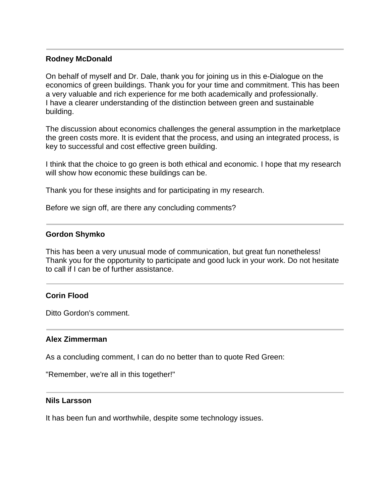## **Rodney McDonald**

On behalf of myself and Dr. Dale, thank you for joining us in this e-Dialogue on the economics of green buildings. Thank you for your time and commitment. This has been a very valuable and rich experience for me both academically and professionally. I have a clearer understanding of the distinction between green and sustainable building.

The discussion about economics challenges the general assumption in the marketplace the green costs more. It is evident that the process, and using an integrated process, is key to successful and cost effective green building.

I think that the choice to go green is both ethical and economic. I hope that my research will show how economic these buildings can be.

Thank you for these insights and for participating in my research.

Before we sign off, are there any concluding comments?

# **Gordon Shymko**

This has been a very unusual mode of communication, but great fun nonetheless! Thank you for the opportunity to participate and good luck in your work. Do not hesitate to call if I can be of further assistance.

# **Corin Flood**

Ditto Gordon's comment.

# **Alex Zimmerman**

As a concluding comment, I can do no better than to quote Red Green:

"Remember, we're all in this together!"

## **Nils Larsson**

It has been fun and worthwhile, despite some technology issues.